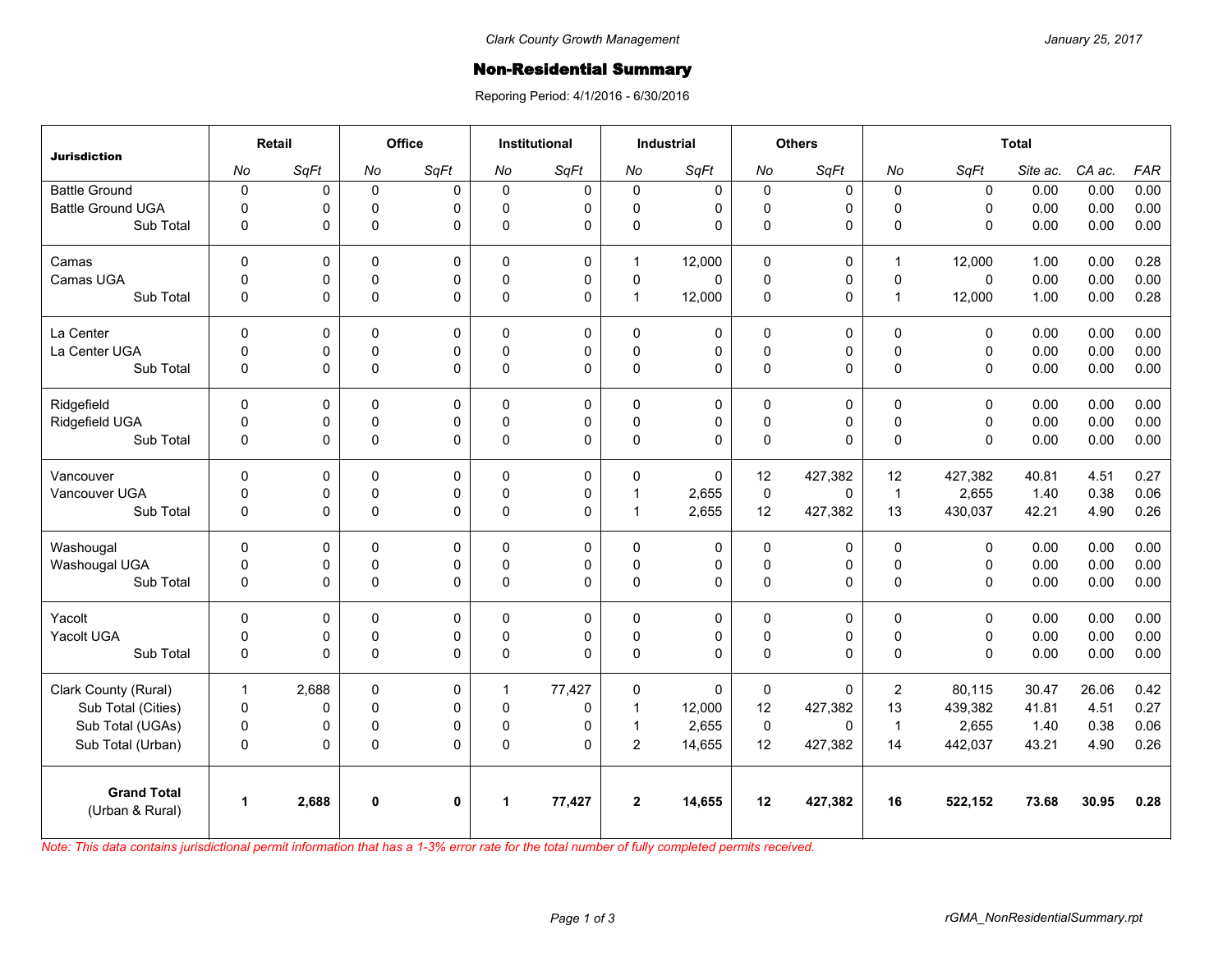## Non-Residential Summary

Reporing Period: 4/1/2016 - 6/30/2016

| <b>Jurisdiction</b>                   | Retail       |             | Office      |              | <b>Institutional</b> |             | <b>Industrial</b> |             | <b>Others</b> |             | <b>Total</b>   |             |          |        |            |
|---------------------------------------|--------------|-------------|-------------|--------------|----------------------|-------------|-------------------|-------------|---------------|-------------|----------------|-------------|----------|--------|------------|
|                                       | No           | SqFt        | No          | SqFt         | No                   | SqFt        | No                | SqFt        | No            | SqFt        | No             | SqFt        | Site ac. | CA ac. | <b>FAR</b> |
| <b>Battle Ground</b>                  | $\pmb{0}$    | 0           | $\mathbf 0$ | $\Omega$     | 0                    | 0           | $\mathbf 0$       | $\mathbf 0$ | $\mathbf 0$   | 0           | $\mathbf 0$    | $\mathbf 0$ | 0.00     | 0.00   | 0.00       |
| <b>Battle Ground UGA</b>              | $\Omega$     | $\mathbf 0$ | $\mathbf 0$ | $\Omega$     | $\Omega$             | 0           | $\Omega$          | 0           | $\mathbf 0$   | 0           | $\mathbf{0}$   | $\Omega$    | 0.00     | 0.00   | 0.00       |
| Sub Total                             | $\mathbf 0$  | 0           | $\mathsf 0$ | $\Omega$     | 0                    | $\Omega$    | $\pmb{0}$         | $\Omega$    | $\mathbf 0$   | 0           | $\mathbf{0}$   | $\Omega$    | 0.00     | 0.00   | 0.00       |
| Camas                                 | $\Omega$     | 0           | $\Omega$    | $\Omega$     | $\Omega$             | $\mathbf 0$ | $\overline{1}$    | 12,000      | 0             | 0           | $\overline{1}$ | 12,000      | 1.00     | 0.00   | 0.28       |
| Camas UGA                             | $\mathbf 0$  | 0           | $\pmb{0}$   | 0            | $\Omega$             | 0           | 0                 | $\Omega$    | $\pmb{0}$     | 0           | $\mathsf 0$    | $\Omega$    | 0.00     | 0.00   | 0.00       |
| Sub Total                             | $\mathbf 0$  | 0           | $\mathsf 0$ | $\Omega$     | $\Omega$             | $\Omega$    | $\overline{1}$    | 12,000      | $\mathbf 0$   | 0           | $\overline{1}$ | 12,000      | 1.00     | 0.00   | 0.28       |
| La Center                             | $\mathbf 0$  | 0           | $\mathbf 0$ | $\mathbf 0$  | 0                    | 0           | $\mathbf 0$       | 0           | $\pmb{0}$     | 0           | $\mathbf 0$    | $\mathbf 0$ | 0.00     | 0.00   | 0.00       |
| La Center UGA                         | $\Omega$     | 0           | $\mathbf 0$ | 0            | $\Omega$             | 0           | $\mathbf 0$       | 0           | $\mathbf 0$   | 0           | $\mathbf{0}$   | $\mathbf 0$ | 0.00     | 0.00   | 0.00       |
| Sub Total                             | $\mathbf 0$  | 0           | $\mathsf 0$ | $\Omega$     | 0                    | 0           | $\pmb{0}$         | 0           | $\pmb{0}$     | 0           | $\Omega$       | $\Omega$    | 0.00     | 0.00   | 0.00       |
| Ridgefield                            | $\Omega$     | 0           | 0           | $\Omega$     | $\Omega$             | 0           | $\Omega$          | 0           | 0             | 0           | $\mathbf{0}$   | $\Omega$    | 0.00     | 0.00   | 0.00       |
| Ridgefield UGA                        | $\mathbf 0$  | 0           | $\mathsf 0$ | $\mathbf 0$  | $\mathbf 0$          | $\pmb{0}$   | $\mathsf 0$       | 0           | $\pmb{0}$     | 0           | $\mathsf 0$    | $\mathbf 0$ | 0.00     | 0.00   | 0.00       |
| Sub Total                             | $\mathbf 0$  | 0           | $\pmb{0}$   | $\Omega$     | 0                    | $\Omega$    | $\Omega$          | $\Omega$    | $\mathbf 0$   | 0           | $\Omega$       | $\Omega$    | 0.00     | 0.00   | 0.00       |
| Vancouver                             | $\Omega$     | $\mathbf 0$ | $\Omega$    | $\Omega$     | $\Omega$             | 0           | $\Omega$          | $\Omega$    | 12            | 427,382     | 12             | 427,382     | 40.81    | 4.51   | 0.27       |
| Vancouver UGA                         | $\mathbf 0$  | 0           | $\mathbf 0$ | $\mathbf 0$  | $\Omega$             | 0           | $\mathbf{1}$      | 2,655       | $\pmb{0}$     | $\mathbf 0$ | $\overline{1}$ | 2,655       | 1.40     | 0.38   | 0.06       |
| Sub Total                             | $\mathbf 0$  | 0           | $\mathsf 0$ | $\Omega$     | 0                    | $\mathbf 0$ | $\mathbf{1}$      | 2,655       | 12            | 427,382     | 13             | 430,037     | 42.21    | 4.90   | 0.26       |
| Washougal                             | $\mathbf 0$  | 0           | 0           | 0            | 0                    | 0           | 0                 | 0           | 0             | 0           | $\Omega$       | $\mathbf 0$ | 0.00     | 0.00   | 0.00       |
| Washougal UGA                         | $\mathbf 0$  | $\mathbf 0$ | $\mathbf 0$ | 0            | $\Omega$             | $\mathbf 0$ | $\mathbf 0$       | 0           | $\mathbf 0$   | 0           | $\Omega$       | $\mathbf 0$ | 0.00     | 0.00   | 0.00       |
| Sub Total                             | $\mathbf 0$  | 0           | $\mathsf 0$ | $\Omega$     | 0                    | $\mathbf 0$ | $\pmb{0}$         | 0           | $\pmb{0}$     | 0           | $\mathsf 0$    | $\mathbf 0$ | 0.00     | 0.00   | 0.00       |
| Yacolt                                | $\mathbf 0$  | $\mathbf 0$ | $\mathbf 0$ | $\Omega$     | 0                    | 0           | $\Omega$          | 0           | $\mathbf 0$   | 0           | $\mathbf{0}$   | $\Omega$    | 0.00     | 0.00   | 0.00       |
| Yacolt UGA                            | 0            | 0           | 0           | 0            | $\Omega$             | 0           | 0                 | 0           | 0             | 0           | $\mathsf 0$    | 0           | 0.00     | 0.00   | 0.00       |
| Sub Total                             | $\mathbf{0}$ | 0           | $\mathsf 0$ | $\Omega$     | $\Omega$             | $\Omega$    | $\Omega$          | $\Omega$    | $\pmb{0}$     | 0           | $\Omega$       | $\Omega$    | 0.00     | 0.00   | 0.00       |
| Clark County (Rural)                  | $\mathbf{1}$ | 2,688       | $\mathbf 0$ | 0            | 1                    | 77,427      | 0                 | 0           | $\pmb{0}$     | 0           | $\overline{2}$ | 80,115      | 30.47    | 26.06  | 0.42       |
| Sub Total (Cities)                    | $\pmb{0}$    | 0           | $\mathbf 0$ | $\Omega$     | $\mathbf 0$          | 0           | $\mathbf{1}$      | 12,000      | 12            | 427,382     | 13             | 439,382     | 41.81    | 4.51   | 0.27       |
| Sub Total (UGAs)                      | $\pmb{0}$    | 0           | $\pmb{0}$   | 0            | 0                    | 0           | $\mathbf{1}$      | 2,655       | $\pmb{0}$     | $\Omega$    | $\overline{1}$ | 2,655       | 1.40     | 0.38   | 0.06       |
| Sub Total (Urban)                     | $\mathbf 0$  | 0           | $\pmb{0}$   | $\Omega$     | 0                    | $\Omega$    | $\overline{c}$    | 14,655      | 12            | 427,382     | 14             | 442,037     | 43.21    | 4.90   | 0.26       |
| <b>Grand Total</b><br>(Urban & Rural) | $\mathbf{1}$ | 2,688       | $\mathbf 0$ | $\mathbf{0}$ | 1                    | 77,427      | $\overline{2}$    | 14,655      | 12            | 427,382     | 16             | 522,152     | 73.68    | 30.95  | 0.28       |
|                                       |              |             |             |              |                      |             |                   |             |               |             |                |             |          |        |            |

*Note: This data contains jurisdictional permit information that has a 1-3% error rate for the total number of fully completed permits received.*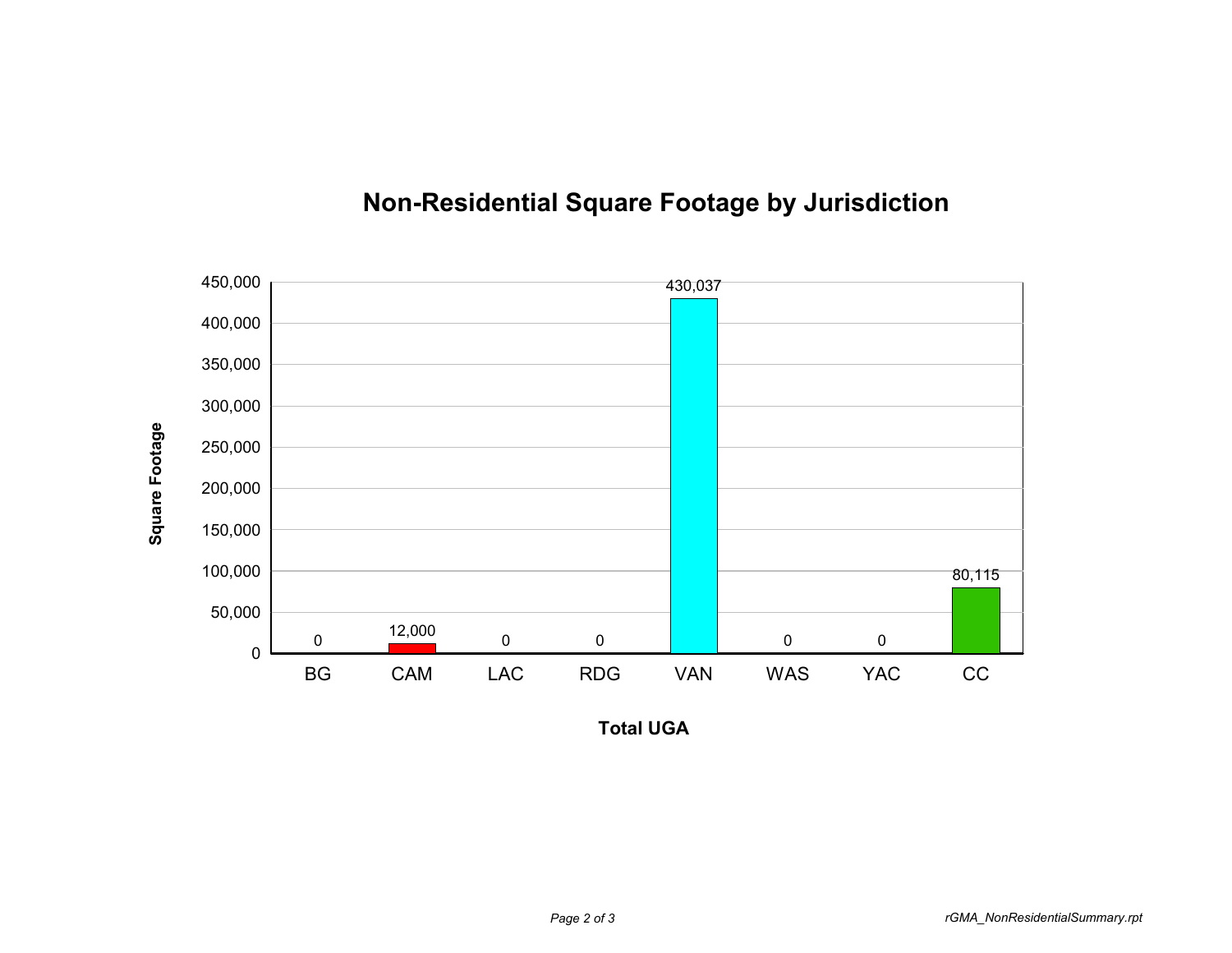

## **Non-Residential Square Footage by Jurisdiction**

**Total UGA**